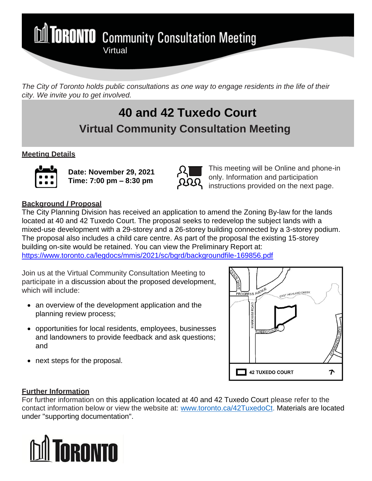**M TORONTO** Community Consultation Meeting

*The City of Toronto holds public consultations as one way to engage residents in the life of their city. We invite you to get involved.*

## **40 and 42 Tuxedo Court Virtual Community Consultation Meeting**

### **Meeting Details**



**Date: November 29, 2021 Time: 7:00 pm – 8:30 pm**



This meeting will be Online and phone-in only. Information and participation instructions provided on the next page.

#### **Background / Proposal**

The City Planning Division has received an application to amend the Zoning By-law for the lands located at 40 and 42 Tuxedo Court. The proposal seeks to redevelop the subject lands with a mixed-use development with a 29-storey and a 26-storey building connected by a 3-storey podium. The proposal also includes a child care centre. As part of the proposal the existing 15-storey building on-site would be retained. You can view the Preliminary Report at: <https://www.toronto.ca/legdocs/mmis/2021/sc/bgrd/backgroundfile-169856.pdf>

Join us at the Virtual Community Consultation Meeting to participate in a discussion about the proposed development, which will include:

- an overview of the development application and the planning review process;
- opportunities for local residents, employees, businesses and landowners to provide feedback and ask questions; and
- next steps for the proposal.



### **Further Information**

For further information on this application located at 40 and 42 Tuxedo Court please refer to the contact information below or view the website at: www.toronto.ca/42TuxedoCt. Materials are located under "supporting documentation".